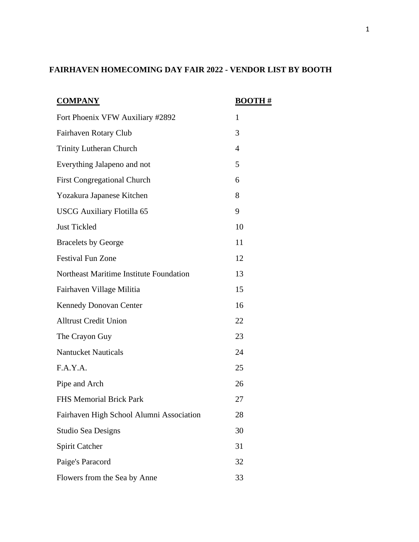## **FAIRHAVEN HOMECOMING DAY FAIR 2022 - VENDOR LIST BY BOOTH**

| <b>COMPANY</b>                           | <b>BOOTH#</b>  |
|------------------------------------------|----------------|
| Fort Phoenix VFW Auxiliary #2892         | 1              |
| Fairhaven Rotary Club                    | 3              |
| <b>Trinity Lutheran Church</b>           | $\overline{4}$ |
| Everything Jalapeno and not              | 5              |
| <b>First Congregational Church</b>       | 6              |
| Yozakura Japanese Kitchen                | 8              |
| <b>USCG Auxiliary Flotilla 65</b>        | 9              |
| <b>Just Tickled</b>                      | 10             |
| <b>Bracelets by George</b>               | 11             |
| <b>Festival Fun Zone</b>                 | 12             |
| Northeast Maritime Institute Foundation  | 13             |
| Fairhaven Village Militia                | 15             |
| <b>Kennedy Donovan Center</b>            | 16             |
| <b>Alltrust Credit Union</b>             | 22             |
| The Crayon Guy                           | 23             |
| <b>Nantucket Nauticals</b>               | 24             |
| F.A.Y.A.                                 | 25             |
| Pipe and Arch                            | 26             |
| <b>FHS Memorial Brick Park</b>           | 27             |
| Fairhaven High School Alumni Association | 28             |
| <b>Studio Sea Designs</b>                | 30             |
| <b>Spirit Catcher</b>                    | 31             |
| Paige's Paracord                         | 32             |
| Flowers from the Sea by Anne             | 33             |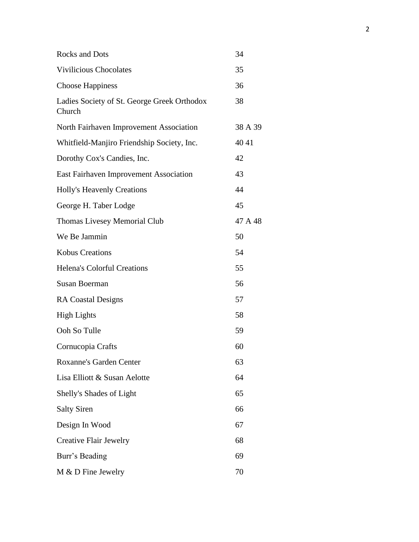| <b>Rocks and Dots</b>                                 | 34      |
|-------------------------------------------------------|---------|
| <b>Vivilicious Chocolates</b>                         | 35      |
| <b>Choose Happiness</b>                               | 36      |
| Ladies Society of St. George Greek Orthodox<br>Church | 38      |
| North Fairhaven Improvement Association               | 38 A 39 |
| Whitfield-Manjiro Friendship Society, Inc.            | 40 41   |
| Dorothy Cox's Candies, Inc.                           | 42      |
| East Fairhaven Improvement Association                | 43      |
| <b>Holly's Heavenly Creations</b>                     | 44      |
| George H. Taber Lodge                                 | 45      |
| <b>Thomas Livesey Memorial Club</b>                   | 47 A 48 |
| We Be Jammin                                          | 50      |
| <b>Kobus Creations</b>                                | 54      |
| <b>Helena's Colorful Creations</b>                    | 55      |
| <b>Susan Boerman</b>                                  | 56      |
| <b>RA Coastal Designs</b>                             | 57      |
| <b>High Lights</b>                                    | 58      |
| Ooh So Tulle                                          | 59      |
| Cornucopia Crafts                                     | 60      |
| <b>Roxanne's Garden Center</b>                        | 63      |
| Lisa Elliott & Susan Aelotte                          | 64      |
| Shelly's Shades of Light                              | 65      |
| <b>Salty Siren</b>                                    | 66      |
| Design In Wood                                        | 67      |
| <b>Creative Flair Jewelry</b>                         | 68      |
| Burr's Beading                                        | 69      |
| M & D Fine Jewelry                                    | 70      |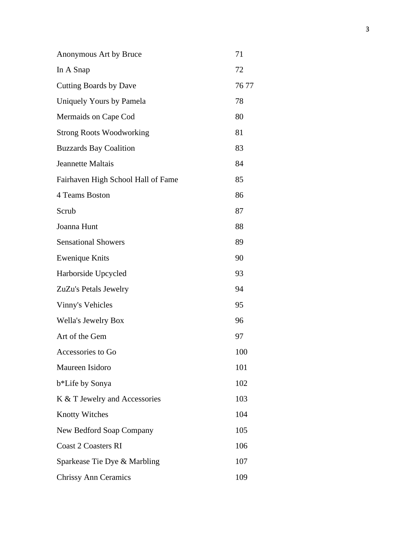| Anonymous Art by Bruce             | 71    |
|------------------------------------|-------|
| In A Snap                          | 72    |
| <b>Cutting Boards by Dave</b>      | 76 77 |
| Uniquely Yours by Pamela           | 78    |
| Mermaids on Cape Cod               | 80    |
| <b>Strong Roots Woodworking</b>    | 81    |
| <b>Buzzards Bay Coalition</b>      | 83    |
| <b>Jeannette Maltais</b>           | 84    |
| Fairhaven High School Hall of Fame | 85    |
| 4 Teams Boston                     | 86    |
| Scrub                              | 87    |
| Joanna Hunt                        | 88    |
| <b>Sensational Showers</b>         | 89    |
| <b>Ewenique Knits</b>              | 90    |
| Harborside Upcycled                | 93    |
| ZuZu's Petals Jewelry              | 94    |
| Vinny's Vehicles                   | 95    |
| Wella's Jewelry Box                | 96    |
| Art of the Gem                     | 97    |
| Accessories to Go                  | 100   |
| Maureen Isidoro                    | 101   |
| b*Life by Sonya                    | 102   |
| K & T Jewelry and Accessories      | 103   |
| <b>Knotty Witches</b>              | 104   |
| New Bedford Soap Company           | 105   |
| <b>Coast 2 Coasters RI</b>         | 106   |
| Sparkease Tie Dye & Marbling       | 107   |
| <b>Chrissy Ann Ceramics</b>        | 109   |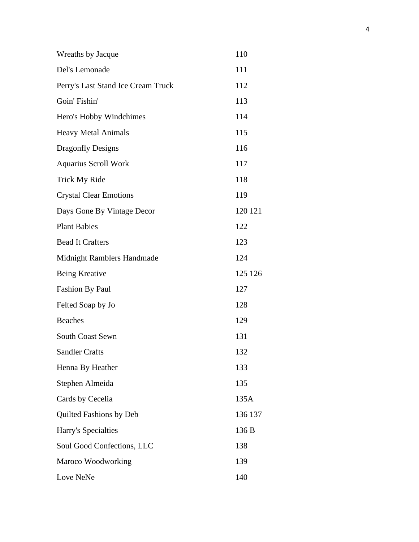| Wreaths by Jacque                  | 110     |
|------------------------------------|---------|
| Del's Lemonade                     | 111     |
| Perry's Last Stand Ice Cream Truck | 112     |
| Goin' Fishin'                      | 113     |
| Hero's Hobby Windchimes            | 114     |
| <b>Heavy Metal Animals</b>         | 115     |
| <b>Dragonfly Designs</b>           | 116     |
| <b>Aquarius Scroll Work</b>        | 117     |
| <b>Trick My Ride</b>               | 118     |
| <b>Crystal Clear Emotions</b>      | 119     |
| Days Gone By Vintage Decor         | 120 121 |
| <b>Plant Babies</b>                | 122     |
| <b>Bead It Crafters</b>            | 123     |
| Midnight Ramblers Handmade         | 124     |
| <b>Being Kreative</b>              | 125 126 |
| <b>Fashion By Paul</b>             | 127     |
| Felted Soap by Jo                  | 128     |
| <b>Beaches</b>                     | 129     |
| <b>South Coast Sewn</b>            | 131     |
| <b>Sandler Crafts</b>              | 132     |
| Henna By Heather                   | 133     |
| Stephen Almeida                    | 135     |
| Cards by Cecelia                   | 135A    |
| Quilted Fashions by Deb            | 136 137 |
| Harry's Specialties                | 136 B   |
| Soul Good Confections, LLC         | 138     |
| Maroco Woodworking                 | 139     |
| Love NeNe                          | 140     |